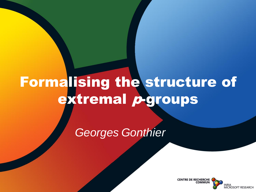#### Formalising the structure of extremal *p*-groups

*Georges Gonthier*

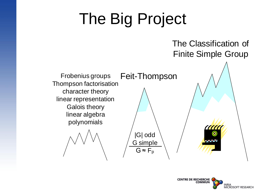## The Big Project

#### The Classification of Finite Simple Group

Frobenius groups Feit-Thompson Thompson factorisation character theory linear representation Galois theory linear algebra polynomials

|G| odd G simple  $G \approx F_p$ 



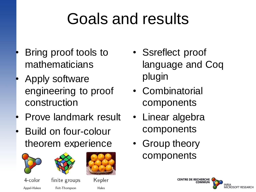## Goals and results

- Bring proof tools to mathematicians
- Apply software engineering to proof construction
- Prove landmark result
- Build on four-colour theorem experience







Hales

4-color finite groups Appel-Haken Feit-Thompson

Kepler

- Ssreflect proof language and Coq plugin
- Combinatorial components
- Linear algebra components
- Group theory components

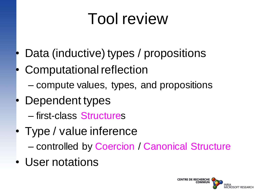#### Tool review

- Data (inductive) types / propositions
- Computational reflection
	- compute values, types, and propositions
- Dependent types
	- first-class Structures
- Type / value inference
	- controlled by Coercion / Canonical Structure
- User notations

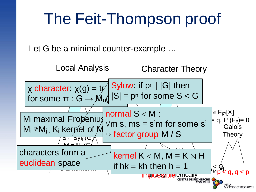#### The Feit-Thompson proof

Let G be a minimal counter-example ...

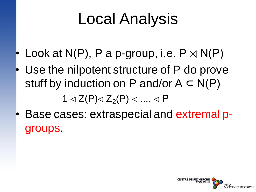### Local Analysis

- Look at N(P), P a p-group, i.e.  $P \rtimes N(P)$
- Use the nilpotent structure of P do prove stuff by induction on P and/or  $A \subset N(P)$

1 ⊲ Z(P)⊲ Z<sub>2</sub>(P) ⊲ .... ⊲ P

• Base cases: extraspecial and extremal pgroups.

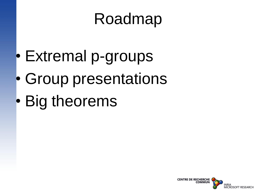#### Roadmap

- Extremal p-groups
- Group presentations
- Big theorems

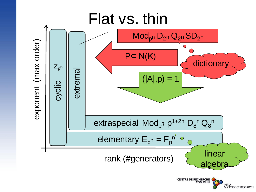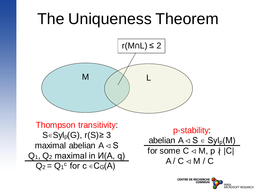#### The Uniqueness Theorem



Thompson transitivity: S∈Syl<sub>p</sub> $(G)$ , r $(S) \geq 3$ maximal abelian A ⊲ S  $Q_1$ ,  $Q_2$  maximal in  $U(A, q)$  $Q_2 = Q_1{}^c$  for  $c \in C_G(A)$ 

p-stability: abelian  $A \triangleleft S \in Syl_p(M)$ for some  $C \triangleleft M$ ,  $p \nmid |C|$  $A / C \triangleleft M / C$ 

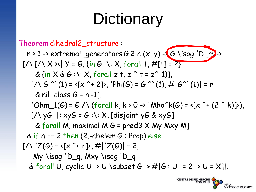## **Dictionary**

Theorem dihedral2\_structure :  $n > 1 \rightarrow \text{extremal\_generators } G 2 n (x, y) - (G \text{ isq 'D_m)}$  $[/\{\ ]\times[\}/\ \times \times]$  Y = G, {in G :\: X, forall t, #[t] = 2}  $\& \{in X \& G : \iota : X,$  forall z t, z  $\uparrow$  t = z $\uparrow$ -1}],  $[\angle \setminus G^{\wedge} (1) = \langle [x^{\wedge} + 2] \rangle, 'Phi(G) = G^{\wedge} (1), \# |G^{\wedge} (1)| = r$ & nil class  $G = n.-1$ ], 'Ohm\_1(G) = G /\ (forall k, k > 0 -> 'Mho^k(G) = <[x ^+ (2 ^ k)]>),  $[7 \vee \vee \vee G :]: x \vee G = G : \vee: X$ , [disjoint yG & xyG] & forall M, maximal M  $G = \text{pred3} \times \text{My Mxy M}$ & if  $n == 2$  then (2.-abelem  $G : Prop)$  else  $[/\right [Z(G) = \left[ x^{\hat{}} + r \right]$ ,  $\# |Z(G)| = 2$ , My \isog 'D\_q, Mxy \isog 'D\_q & forall U, cyclic U -> U \subset G ->  $\# |G : U| = 2$  -> U = X]].

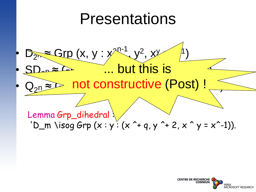#### Presentations



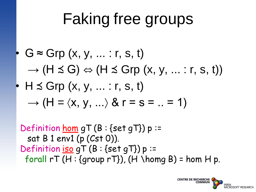### Faking free groups

\n- $$
G \approx \text{Grp}(x, y, \ldots; r, s, t)
$$
\n- $\rightarrow$  (H  $\leq G$ )  $\Leftrightarrow$  (H  $\leq$  Grp(x, y, \ldots; r, s, t))
\n- $\rightarrow$  H  $\leq$  Grp(x, y, \ldots; r, s, t)
\n- $\rightarrow$  (H =  $\langle x, y, \ldots \rangle$  & r = s =  $\ldots$  = 1)
\n

Definition hom  $qT(B:\{set qT\})p$ := sat B 1 env1 (p (Cst 0)). Definition iso  $qT (B : {set qT}) p$  := forall  $rT(H : \{group rT\})$ ,  $(H \setminus homg B) = hom H p$ .

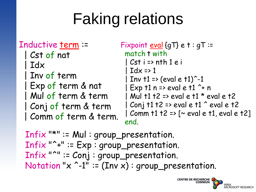# Faking relations

#### Inductive term :=

```
| Cst of nat
 | Idx
Inv of term
 | Exp of term & nat
| Mul of term & term
| Conj of term & term
| Comm of term & term.
```

```
Fixpoint eval \{gT\} e t: gT :=
 match t with
  | Cst i => nth 1 e i
   Idx \Rightarrow 1Inv t1 = (eval e t1)^{-1}| Exp t1 n => eval e t1 ^+ n
 1 Mul t1 t2 => eval e t1 * eval e t2
 | Conj t1 t2 => eval e t1 \hat{ } eval e t2
 | Comm t1 t2 => [~ eval e t1, eval e t2]
 end.
```
Infix "\*" := Mul : group\_presentation. Infix "^+" := Exp : group\_presentation. Infix "^" := Conj : group\_presentation. Notation " $x$  ^-1" := (Inv x) : group\_presentation.

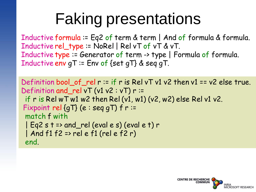## Faking presentations

Inductive formula := Eq2 of term & term | And of formula & formula. Inductive rel\_type := NoRel | Rel vT of vT & vT. Inductive type := Generator of term -> type | Formula of formula. Inductive env gT := Env of {set gT} & seq gT.

```
Definition bool_of_rel r := if r is Rel vT v1 v2 then v1 == v2 else true.
Definition and rel vT (v1 v2 : vT) r =if r is Rel wTw1 w2 then Rel (v1, w1) (v2, w2) else Rel v1 v2.
Fixpoint rel {gT} (e : seq gT) f r := \ldotsmatch f with|Eq2 s t => and_rel (eval e s) (eval e t) r
 | And f1 f2 => rel e f1 (rel e f2 r)
 end.
end.
```
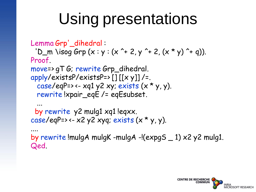## Using presentations

```
Lemma Grp'_dihedral : 
 'D_m \isog Grp (x : y : (x^2 + 2, y^2 + 2, (x * y)^2 + q)).
Proof.
move=> gT G; rewrite Grp_dihedral.
apply/existsP/existsP=>\left[ \right] \left[ \left[ x \ y \right] \right] /=.
  case/eqP=> <- xq1 y2 xy; exists (x * y, y).
  rewrite !xpair_eqE /= eqEsubset.
  ...
 by rewrite y2 mulg1 xq1 !eqxx.
case/eqP=> <- \times2 y2 xyq; exists (\times * y, y).
.... 
by rewrite !mulgA mulgK -mulgA -!(expgS _ 1) x2 y2 mulg1.
Qed.
```
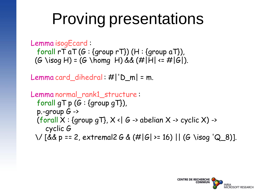## Proving presentations

```
Lemma isogEcard :
  forall rT aT (G: {group rT}) (H: {group aT}),(G \text{ isog } H) = (G \text{ isom } H) && (H|\bar{H}| \leq H|G|).
```

```
Lemma card_dihedral: \#| 'D_m| = m.
```

```
Lemma normal_rank1_structure :
  forall qT p (G: {group qT}),
  p-group G \rightarrow(forall X: {group qT}, X \triangleleft G \rightarrow abelian X \rightarrow cyclic X) ->
     cyclic G
 \/ [&& p == 2, extremal2 G & (#|G| >= 16) || (G \isog 'Q_8)].
```
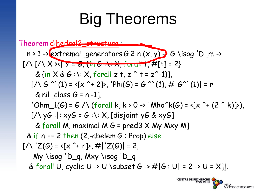## Big Theorems

Theorem dihedral2\_structure : n > 1 -> extremal\_generators G 2 n (x, y) -> G \isog 'D\_m -> [/\ [/\ X ><| Y = G, {in G :\: X, forall t, #[t] = 2} & {in X & G :\: X, forall z t, z ^ t = z^-1}], [/\ G ^`(1) = <[x ^+ 2]>, 'Phi(G) = G ^`(1), #|G^`(1)| = r & nil\_class G = n.-1], 'Ohm\_1(G) = G /\ (forall k, k > 0 -> 'Mho^k(G) = <[x ^+ (2 ^ k)]>), [/\ yG :|: xyG = G :\: X, [disjoint yG & xyG] & forall M, maximal M G = pred3 X My Mxy M] & if n == 2 then (2.-abelem G : Prop) else [/\ 'Z(G) = <[x ^+ r]>, #|'Z(G)| = 2, My \isog 'D\_q, Mxy \isog 'D\_q & forall U, cyclic U -> U \subset G -> #|G : U| = 2 -> U = X]].

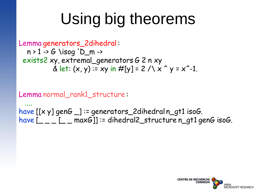# Using big theorems

```
Lemma generators_2dihedral :
  n > 1 \rightarrow G \isog 'D_m \rightarrowexists2 xy, extremal_generators G 2 n xy
            & let: (x, y) := xy in \#[y] = 2 / \sqrt{x} \gamma = x^2-1.
```
Lemma normal\_rank1\_structure :

.... have  $[[x y]$  gen $G$   $]$  := generators 2dihedral n gt1 isoG. have  $[- - [- \text{maxG}]]$  := dihedral2\_structure n\_gt1 genG isoG.

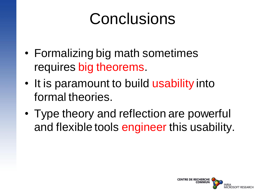#### Conclusions

- Formalizing big math sometimes requires big theorems.
- It is paramount to build usability into formal theories.
- Type theory and reflection are powerful and flexible tools engineer this usability.